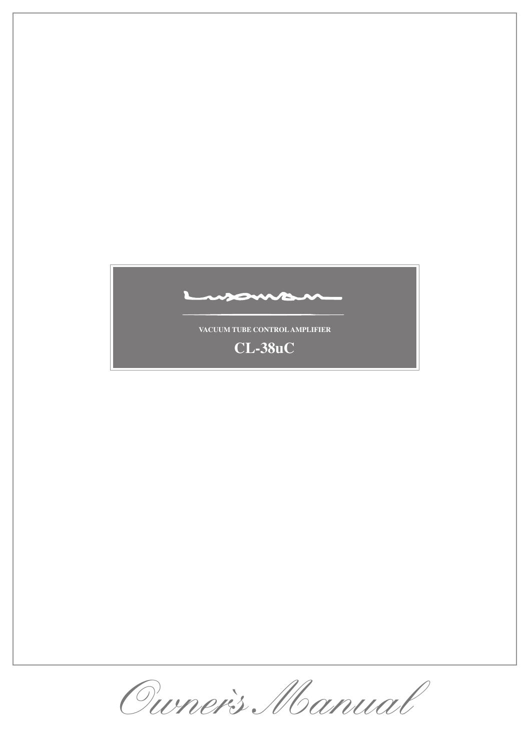

Ourner's Manual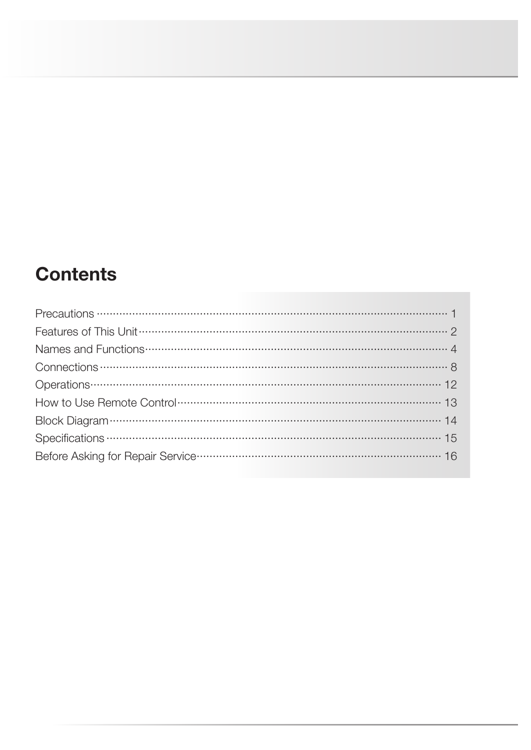# **Contents**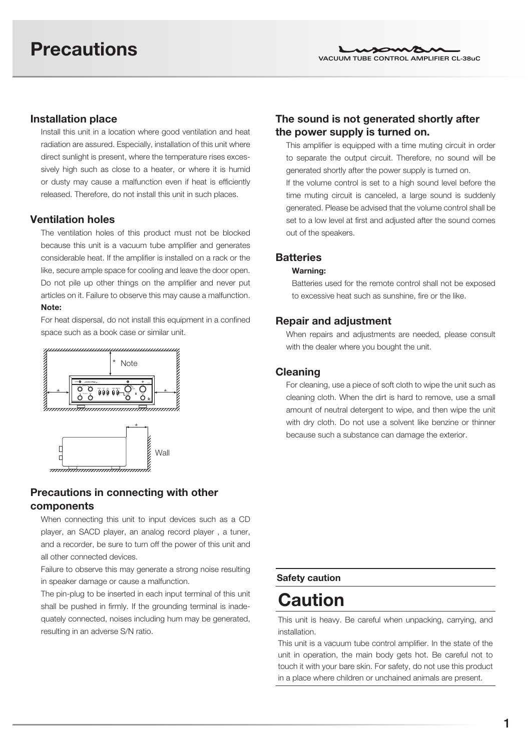## Installation place

Install this unit in a location where good ventilation and heat radiation are assured. Especially, installation of this unit where direct sunlight is present, where the temperature rises excessively high such as close to a heater, or where it is humid or dusty may cause a malfunction even if heat is efficiently released. Therefore, do not install this unit in such places.

## Ventilation holes

The ventilation holes of this product must not be blocked because this unit is a vacuum tube amplifier and generates considerable heat. If the amplifier is installed on a rack or the like, secure ample space for cooling and leave the door open. Do not pile up other things on the amplifier and never put articles on it. Failure to observe this may cause a malfunction. Note:

For heat dispersal, do not install this equipment in a confined space such as a book case or similar unit.



<del>umumumumumumu</del>



When connecting this unit to input devices such as a CD player, an SACD player, an analog record player , a tuner, and a recorder, be sure to turn off the power of this unit and all other connected devices.

Failure to observe this may generate a strong noise resulting in speaker damage or cause a malfunction.

The pin-plug to be inserted in each input terminal of this unit shall be pushed in firmly. If the grounding terminal is inadequately connected, noises including hum may be generated, resulting in an adverse S/N ratio.

# The sound is not generated shortly after the power supply is turned on.

This amplifier is equipped with a time muting circuit in order to separate the output circuit. Therefore, no sound will be generated shortly after the power supply is turned on.

If the volume control is set to a high sound level before the time muting circuit is canceled, a large sound is suddenly generated. Please be advised that the volume control shall be set to a low level at first and adjusted after the sound comes out of the speakers.

## **Batteries**

#### Warning:

Batteries used for the remote control shall not be exposed to excessive heat such as sunshine, fire or the like.

#### Repair and adjustment

When repairs and adjustments are needed, please consult with the dealer where you bought the unit.

#### Cleaning

For cleaning, use a piece of soft cloth to wipe the unit such as cleaning cloth. When the dirt is hard to remove, use a small amount of neutral detergent to wipe, and then wipe the unit with dry cloth. Do not use a solvent like benzine or thinner because such a substance can damage the exterior.

#### Safety caution

# **Caution**

This unit is heavy. Be careful when unpacking, carrying, and installation.

This unit is a vacuum tube control amplifier. In the state of the unit in operation, the main body gets hot. Be careful not to touch it with your bare skin. For safety, do not use this product in a place where children or unchained animals are present.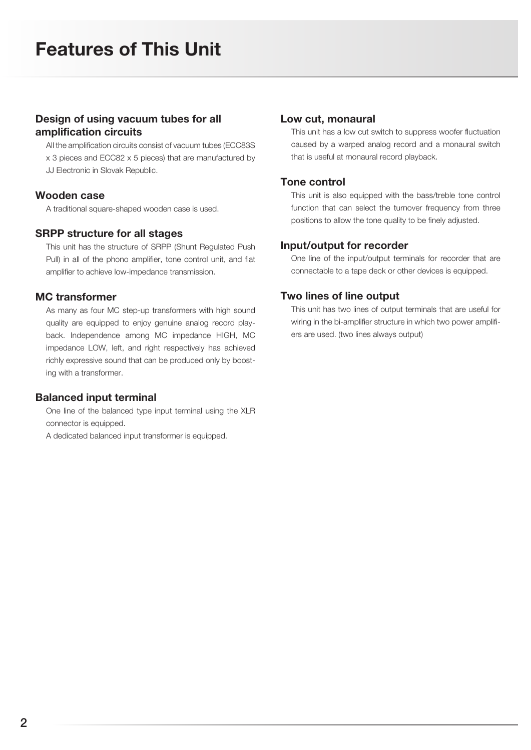# Design of using vacuum tubes for all amplification circuits

All the amplification circuits consist of vacuum tubes (ECC83S

- x 3 pieces and ECC82 x 5 pieces) that are manufactured by
- JJ Electronic in Slovak Republic.

### Wooden case

A traditional square-shaped wooden case is used.

### SRPP structure for all stages

This unit has the structure of SRPP (Shunt Regulated Push Pull) in all of the phono amplifier, tone control unit, and flat amplifier to achieve low-impedance transmission.

## MC transformer

As many as four MC step-up transformers with high sound quality are equipped to enjoy genuine analog record playback. Independence among MC impedance HIGH, MC impedance LOW, left, and right respectively has achieved richly expressive sound that can be produced only by boosting with a transformer.

## Balanced input terminal

One line of the balanced type input terminal using the XLR connector is equipped.

A dedicated balanced input transformer is equipped.

#### Low cut, monaural

This unit has a low cut switch to suppress woofer fluctuation caused by a warped analog record and a monaural switch that is useful at monaural record playback.

### Tone control

This unit is also equipped with the bass/treble tone control function that can select the turnover frequency from three positions to allow the tone quality to be finely adjusted.

### Input/output for recorder

One line of the input/output terminals for recorder that are connectable to a tape deck or other devices is equipped.

### Two lines of line output

This unit has two lines of output terminals that are useful for wiring in the bi-amplifier structure in which two power amplifiers are used. (two lines always output)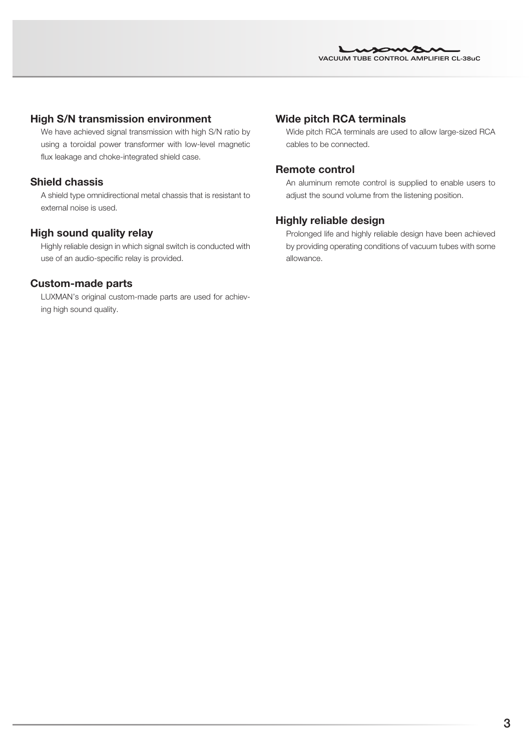## High S/N transmission environment

We have achieved signal transmission with high S/N ratio by using a toroidal power transformer with low-level magnetic flux leakage and choke-integrated shield case.

## Shield chassis

A shield type omnidirectional metal chassis that is resistant to external noise is used.

### High sound quality relay

Highly reliable design in which signal switch is conducted with use of an audio-specific relay is provided.

### Custom-made parts

LUXMAN's original custom-made parts are used for achieving high sound quality.

### Wide pitch RCA terminals

Wide pitch RCA terminals are used to allow large-sized RCA cables to be connected.

#### Remote control

An aluminum remote control is supplied to enable users to adjust the sound volume from the listening position.

## Highly reliable design

Prolonged life and highly reliable design have been achieved by providing operating conditions of vacuum tubes with some allowance.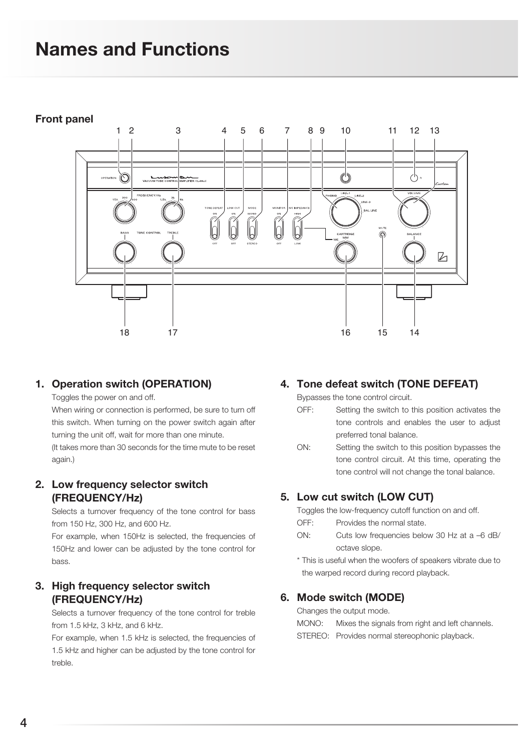# Names and Functions

## Front panel



# 1. Operation switch (OPERATION)

Toggles the power on and off.

When wiring or connection is performed, be sure to turn off this switch. When turning on the power switch again after turning the unit off, wait for more than one minute. (It takes more than 30 seconds for the time mute to be reset again.)

# 2. Low frequency selector switch (FREQUENCY/Hz)

Selects a turnover frequency of the tone control for bass from 150 Hz, 300 Hz, and 600 Hz.

For example, when 150Hz is selected, the frequencies of 150Hz and lower can be adjusted by the tone control for bass.

# 3. High frequency selector switch (FREQUENCY/Hz)

Selects a turnover frequency of the tone control for treble from 1.5 kHz, 3 kHz, and 6 kHz.

For example, when 1.5 kHz is selected, the frequencies of 1.5 kHz and higher can be adjusted by the tone control for treble.

# 4. Tone defeat switch (TONE DEFEAT)

Bypasses the tone control circuit.

- OFF: Setting the switch to this position activates the tone controls and enables the user to adjust preferred tonal balance.
- ON: Setting the switch to this position bypasses the tone control circuit. At this time, operating the tone control will not change the tonal balance.

# 5. Low cut switch (LOW CUT)

Toggles the low-frequency cutoff function on and off.

- OFF: Provides the normal state.
- ON: Cuts low frequencies below 30 Hz at a –6 dB/ octave slope.
- \* This is useful when the woofers of speakers vibrate due to the warped record during record playback.

## 6. Mode switch (MODE)

Changes the output mode.

- MONO: Mixes the signals from right and left channels.
- STEREO: Provides normal stereophonic playback.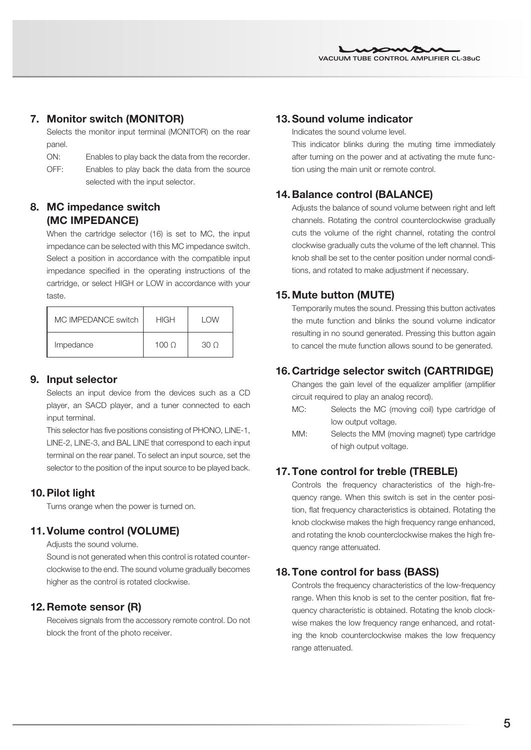# 7. Monitor switch (MONITOR)

Selects the monitor input terminal (MONITOR) on the rear panel.

- ON: Enables to play back the data from the recorder.
- OFF: Enables to play back the data from the source selected with the input selector.

# 8. MC impedance switch (MC IMPEDANCE)

When the cartridge selector (16) is set to MC, the input impedance can be selected with this MC impedance switch. Select a position in accordance with the compatible input impedance specified in the operating instructions of the cartridge, or select HIGH or LOW in accordance with your taste.

| MC IMPEDANCE switch | <b>HIGH</b> | <b>I OW</b> |
|---------------------|-------------|-------------|
| Impedance           | 1000        | 30 O        |

## 9. Input selector

Selects an input device from the devices such as a CD player, an SACD player, and a tuner connected to each input terminal.

This selector has five positions consisting of PHONO, LINE-1, LINE-2, LINE-3, and BAL LINE that correspond to each input terminal on the rear panel. To select an input source, set the selector to the position of the input source to be played back.

# 10.Pilot light

Turns orange when the power is turned on.

# 11.Volume control (VOLUME)

Adjusts the sound volume.

Sound is not generated when this control is rotated counterclockwise to the end. The sound volume gradually becomes higher as the control is rotated clockwise.

# 12. Remote sensor (R)

Receives signals from the accessory remote control. Do not block the front of the photo receiver.

# 13.Sound volume indicator

Indicates the sound volume level.

This indicator blinks during the muting time immediately after turning on the power and at activating the mute function using the main unit or remote control.

# 14. Balance control (BALANCE)

Adjusts the balance of sound volume between right and left channels. Rotating the control counterclockwise gradually cuts the volume of the right channel, rotating the control clockwise gradually cuts the volume of the left channel. This knob shall be set to the center position under normal conditions, and rotated to make adjustment if necessary.

# 15.Mute button (MUTE)

Temporarily mutes the sound. Pressing this button activates the mute function and blinks the sound volume indicator resulting in no sound generated. Pressing this button again to cancel the mute function allows sound to be generated.

# 16. Cartridge selector switch (CARTRIDGE)

Changes the gain level of the equalizer amplifier (amplifier circuit required to play an analog record).

- MC: Selects the MC (moving coil) type cartridge of low output voltage.
- MM: Selects the MM (moving magnet) type cartridge of high output voltage.

# 17.Tone control for treble (TREBLE)

Controls the frequency characteristics of the high-frequency range. When this switch is set in the center position, flat frequency characteristics is obtained. Rotating the knob clockwise makes the high frequency range enhanced, and rotating the knob counterclockwise makes the high frequency range attenuated.

# 18.Tone control for bass (BASS)

Controls the frequency characteristics of the low-frequency range. When this knob is set to the center position, flat frequency characteristic is obtained. Rotating the knob clockwise makes the low frequency range enhanced, and rotating the knob counterclockwise makes the low frequency range attenuated.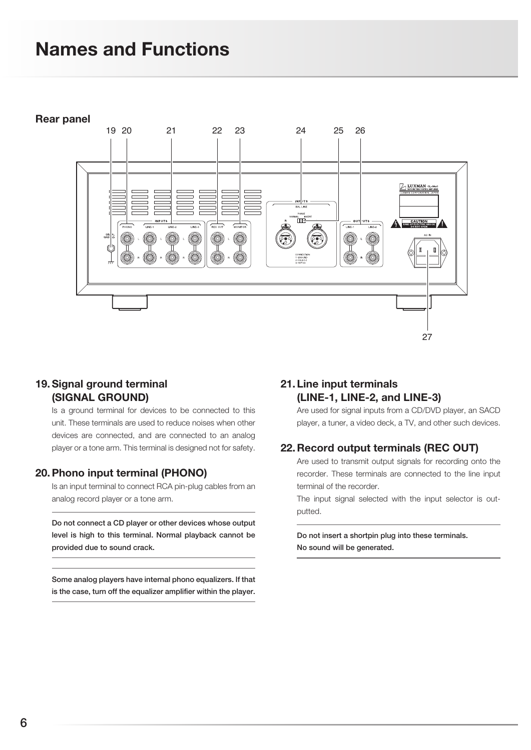# Names and Functions

#### Rear panel



## 19. Signal ground terminal (SIGNAL GROUND)

Is a ground terminal for devices to be connected to this unit. These terminals are used to reduce noises when other devices are connected, and are connected to an analog player or a tone arm. This terminal is designed not for safety.

## 20.Phono input terminal (PHONO)

Is an input terminal to connect RCA pin-plug cables from an analog record player or a tone arm.

Do not connect a CD player or other devices whose output level is high to this terminal. Normal playback cannot be provided due to sound crack.

#### Some analog players have internal phono equalizers. If that is the case, turn off the equalizer amplifier within the player.

# 21. Line input terminals (LINE-1, LINE-2, and LINE-3)

Are used for signal inputs from a CD/DVD player, an SACD player, a tuner, a video deck, a TV, and other such devices.

27

## 22. Record output terminals (REC OUT)

Are used to transmit output signals for recording onto the recorder. These terminals are connected to the line input terminal of the recorder.

The input signal selected with the input selector is outputted.

Do not insert a shortpin plug into these terminals. No sound will be generated.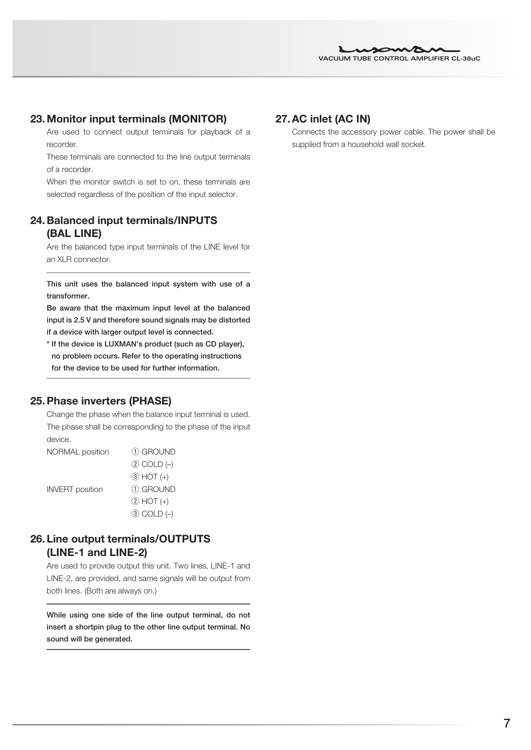## 23.Monitor input terminals (MONITOR)

Are used to connect output terminals for playback of a recorder.

These terminals are connected to the line output terminals of a recorder.

When the monitor switch is set to on, these terminals are selected regardless of the position of the input selector.

# 24. Balanced input terminals/INPUTS (BAL LINE)

Are the balanced type input terminals of the LINE level for an XLR connector.

This unit uses the balanced input system with use of a transformer.

Be aware that the maximum input level at the balanced input is 2.5 V and therefore sound signals may be distorted if a device with larger output level is connected.

\* If the device is LUXMAN's product (such as CD player), no problem occurs. Refer to the operating instructions for the device to be used for further information.

## 25.Phase inverters (PHASE)

Change the phase when the balance input terminal is used. The phase shall be corresponding to the phase of the input device.

NORMAL position ① GROUND  $(2)$  COLD  $(-)$  $(3)$  HOT  $(+)$ INVERT position ① GROUND ② HOT (+)  $(3)$  COLD  $(-)$ 

## 26. Line output terminals/OUTPUTS (LINE-1 and LINE-2)

Are used to provide output this unit. Two lines, LINE-1 and LINE-2, are provided, and same signals will be output from both lines. (Both are always on.)

While using one side of the line output terminal, do not insert a shortpin plug to the other line output terminal. No sound will be generated.

## 27.AC inlet (AC IN)

Connects the accessory power cable. The power shall be supplied from a household wall socket.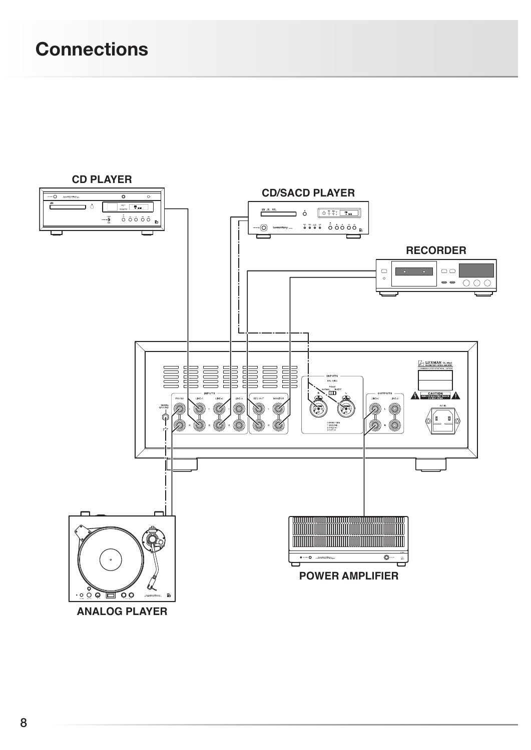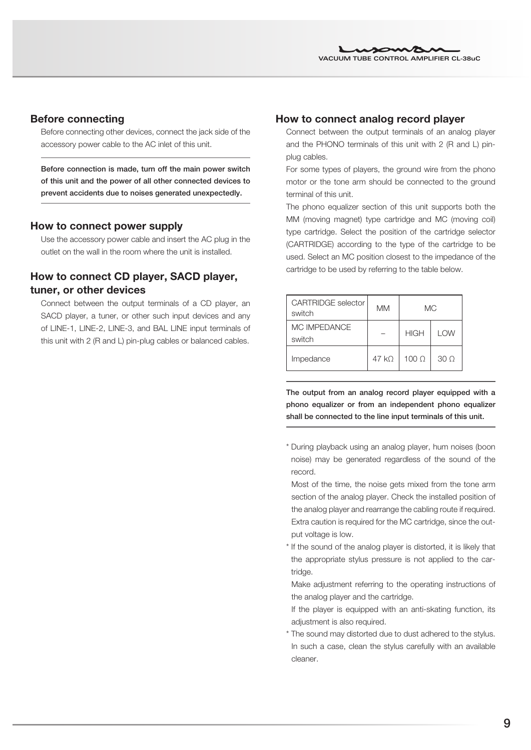## Before connecting

Before connecting other devices, connect the jack side of the accessory power cable to the AC inlet of this unit.

Before connection is made, turn off the main power switch of this unit and the power of all other connected devices to prevent accidents due to noises generated unexpectedly.

#### How to connect power supply

Use the accessory power cable and insert the AC plug in the outlet on the wall in the room where the unit is installed.

# How to connect CD player, SACD player, tuner, or other devices

Connect between the output terminals of a CD player, an SACD player, a tuner, or other such input devices and any of LINE-1, LINE-2, LINE-3, and BAL LINE input terminals of this unit with 2 (R and L) pin-plug cables or balanced cables.

#### How to connect analog record player

Connect between the output terminals of an analog player and the PHONO terminals of this unit with 2 (R and L) pinplug cables.

For some types of players, the ground wire from the phono motor or the tone arm should be connected to the ground terminal of this unit.

The phono equalizer section of this unit supports both the MM (moving magnet) type cartridge and MC (moving coil) type cartridge. Select the position of the cartridge selector (CARTRIDGE) according to the type of the cartridge to be used. Select an MC position closest to the impedance of the cartridge to be used by referring to the table below.

| <b>CARTRIDGE</b> selector<br>switch | МM    |                  | МC              |
|-------------------------------------|-------|------------------|-----------------|
| MC IMPEDANCE<br>switch              |       | <b>HIGH</b>      | <b>LOW</b>      |
| Impedance                           | 47 kO | 100 <sub>o</sub> | 30 <sub>O</sub> |

The output from an analog record player equipped with a phono equalizer or from an independent phono equalizer shall be connected to the line input terminals of this unit.

- \* During playback using an analog player, hum noises (boon noise) may be generated regardless of the sound of the record.
- Most of the time, the noise gets mixed from the tone arm section of the analog player. Check the installed position of the analog player and rearrange the cabling route if required. Extra caution is required for the MC cartridge, since the output voltage is low.
- \* If the sound of the analog player is distorted, it is likely that the appropriate stylus pressure is not applied to the cartridge.

 Make adjustment referring to the operating instructions of the analog player and the cartridge.

 If the player is equipped with an anti-skating function, its adjustment is also required.

\* The sound may distorted due to dust adhered to the stylus. In such a case, clean the stylus carefully with an available cleaner.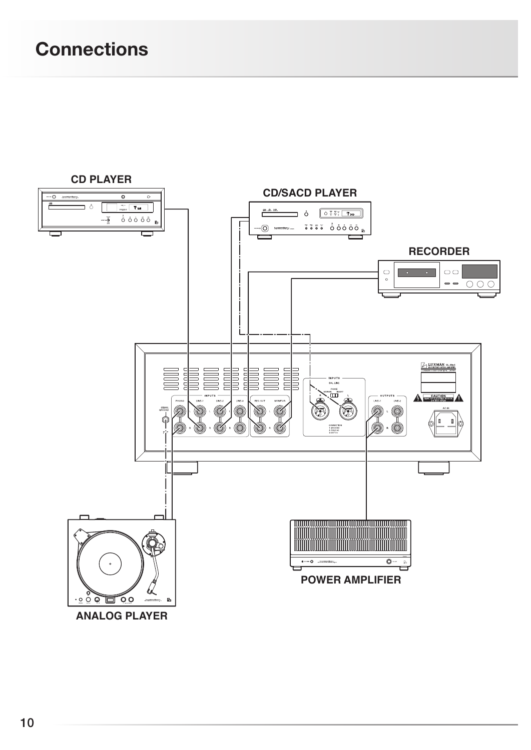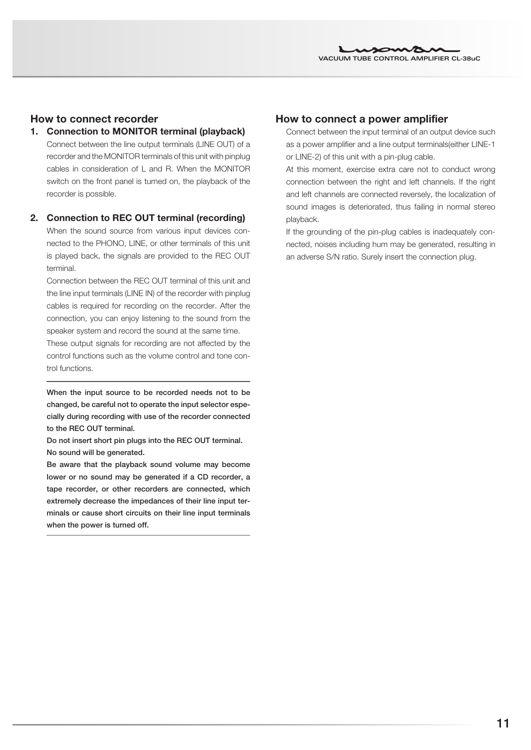## How to connect recorder

## 1. Connection to MONITOR terminal (playback)

Connect between the line output terminals (LINE OUT) of a recorder and the MONITOR terminals of this unit with pinplug cables in consideration of L and R. When the MONITOR switch on the front panel is turned on, the playback of the recorder is possible.

### 2. Connection to REC OUT terminal (recording)

When the sound source from various input devices connected to the PHONO, LINE, or other terminals of this unit is played back, the signals are provided to the REC OUT terminal.

Connection between the REC OUT terminal of this unit and the line input terminals (LINE IN) of the recorder with pinplug cables is required for recording on the recorder. After the connection, you can enjoy listening to the sound from the speaker system and record the sound at the same time.

These output signals for recording are not affected by the control functions such as the volume control and tone control functions.

When the input source to be recorded needs not to be changed, be careful not to operate the input selector especially during recording with use of the recorder connected to the REC OUT terminal.

Do not insert short pin plugs into the REC OUT terminal. No sound will be generated.

Be aware that the playback sound volume may become lower or no sound may be generated if a CD recorder, a tape recorder, or other recorders are connected, which extremely decrease the impedances of their line input terminals or cause short circuits on their line input terminals when the power is turned off.

## How to connect a power amplifier

Connect between the input terminal of an output device such as a power amplifier and a line output terminals(either LINE-1 or LINE-2) of this unit with a pin-plug cable.

At this moment, exercise extra care not to conduct wrong connection between the right and left channels. If the right and left channels are connected reversely, the localization of sound images is deteriorated, thus failing in normal stereo playback.

If the grounding of the pin-plug cables is inadequately connected, noises including hum may be generated, resulting in an adverse S/N ratio. Surely insert the connection plug.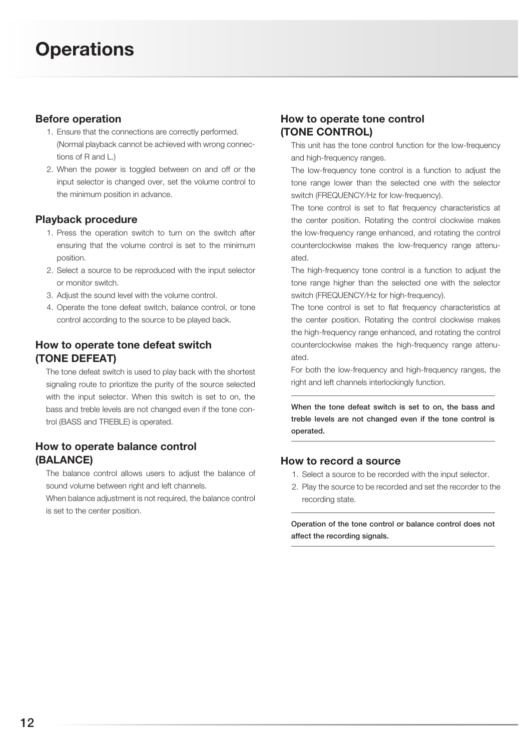## Before operation

- 1. Ensure that the connections are correctly performed. (Normal playback cannot be achieved with wrong connections of R and L.)
- 2. When the power is toggled between on and off or the input selector is changed over, set the volume control to the minimum position in advance.

## Playback procedure

- 1. Press the operation switch to turn on the switch after ensuring that the volume control is set to the minimum position.
- 2. Select a source to be reproduced with the input selector or monitor switch.
- 3. Adjust the sound level with the volume control.
- 4. Operate the tone defeat switch, balance control, or tone control according to the source to be played back.

# How to operate tone defeat switch (TONE DEFEAT)

The tone defeat switch is used to play back with the shortest signaling route to prioritize the purity of the source selected with the input selector. When this switch is set to on, the bass and treble levels are not changed even if the tone control (BASS and TREBLE) is operated.

# How to operate balance control (BALANCE)

The balance control allows users to adjust the balance of sound volume between right and left channels.

When balance adjustment is not required, the balance control is set to the center position.

# How to operate tone control (TONE CONTROL)

This unit has the tone control function for the low-frequency and high-frequency ranges.

The low-frequency tone control is a function to adjust the tone range lower than the selected one with the selector switch (FREQUENCY/Hz for low-frequency).

The tone control is set to flat frequency characteristics at the center position. Rotating the control clockwise makes the low-frequency range enhanced, and rotating the control counterclockwise makes the low-frequency range attenuated.

The high-frequency tone control is a function to adjust the tone range higher than the selected one with the selector switch (FREQUENCY/Hz for high-frequency).

The tone control is set to flat frequency characteristics at the center position. Rotating the control clockwise makes the high-frequency range enhanced, and rotating the control counterclockwise makes the high-frequency range attenuated.

For both the low-frequency and high-frequency ranges, the right and left channels interlockingly function.

When the tone defeat switch is set to on, the bass and treble levels are not changed even if the tone control is operated.

# How to record a source

- 1. Select a source to be recorded with the input selector.
- 2. Play the source to be recorded and set the recorder to the recording state.

Operation of the tone control or balance control does not affect the recording signals.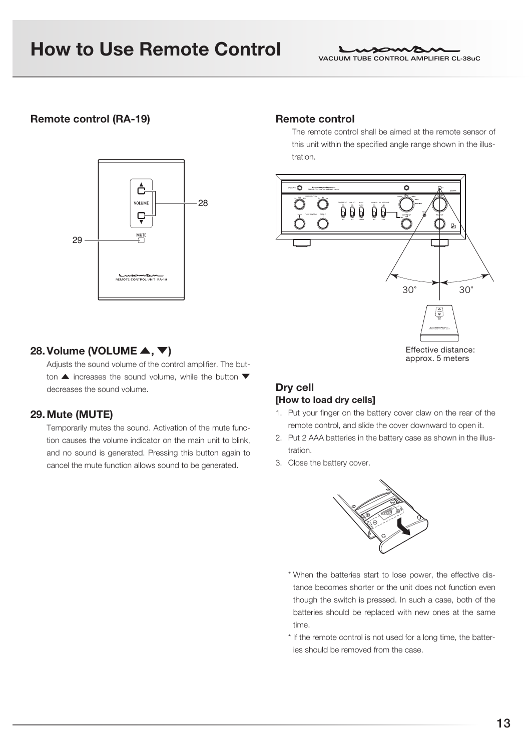# How to Use Remote Control

## Remote control (RA-19)



## 28. Volume (VOLUME  $\blacktriangle, \blacktriangledown)$

Adjusts the sound volume of the control amplifier. The button  $\blacktriangle$  increases the sound volume, while the button  $\nabla$ decreases the sound volume.

## 29.Mute (MUTE)

Temporarily mutes the sound. Activation of the mute function causes the volume indicator on the main unit to blink, and no sound is generated. Pressing this button again to cancel the mute function allows sound to be generated.

#### Remote control

The remote control shall be aimed at the remote sensor of this unit within the specified angle range shown in the illustration.



## Dry cell [How to load dry cells]

- 1. Put your finger on the battery cover claw on the rear of the remote control, and slide the cover downward to open it.
- 2. Put 2 AAA batteries in the battery case as shown in the illustration.
- 3. Close the battery cover.



- \* When the batteries start to lose power, the effective distance becomes shorter or the unit does not function even though the switch is pressed. In such a case, both of the batteries should be replaced with new ones at the same time.
- \* If the remote control is not used for a long time, the batteries should be removed from the case.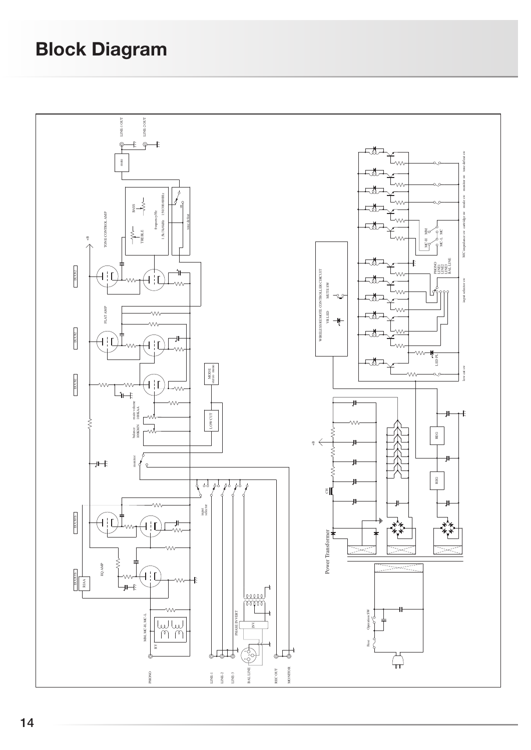# Block Diagram

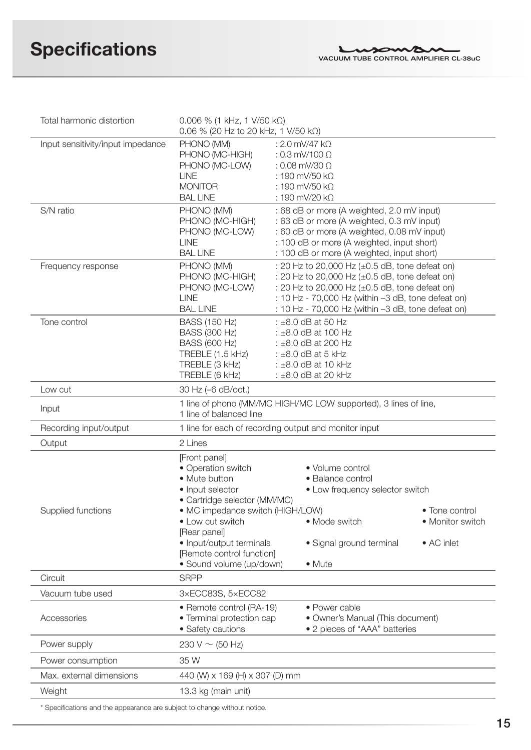| Total harmonic distortion                | $0.006$ % (1 kHz, 1 V/50 kΩ)                                     |                                                                                          |                  |
|------------------------------------------|------------------------------------------------------------------|------------------------------------------------------------------------------------------|------------------|
| Input sensitivity/input impedance        | 0.06 % (20 Hz to 20 kHz, 1 V/50 k $\Omega$ )                     |                                                                                          |                  |
|                                          | PHONO (MM)<br>PHONO (MC-HIGH)                                    | : 2.0 mV/47 $k\Omega$<br>: 0.3 mV/100 $\Omega$                                           |                  |
|                                          | PHONO (MC-LOW)                                                   | : 0.08 mV/30 $\Omega$                                                                    |                  |
|                                          | <b>LINE</b>                                                      | $:190$ mV/50 k $\Omega$                                                                  |                  |
|                                          | <b>MONITOR</b>                                                   | $:190$ mV/50 k $\Omega$                                                                  |                  |
|                                          | <b>BAL LINE</b>                                                  | : 190 mV/20 kΩ                                                                           |                  |
| S/N ratio                                | PHONO (MM)                                                       | : 68 dB or more (A weighted, 2.0 mV input)                                               |                  |
|                                          | PHONO (MC-HIGH)                                                  | : 63 dB or more (A weighted, 0.3 mV input)                                               |                  |
|                                          | PHONO (MC-LOW)                                                   | : 60 dB or more (A weighted, 0.08 mV input)                                              |                  |
|                                          | <b>LINE</b><br><b>BAL LINE</b>                                   | : 100 dB or more (A weighted, input short)<br>: 100 dB or more (A weighted, input short) |                  |
| Frequency response                       | PHONO (MM)                                                       | : 20 Hz to 20,000 Hz (±0.5 dB, tone defeat on)                                           |                  |
|                                          | PHONO (MC-HIGH)                                                  | : 20 Hz to 20,000 Hz (±0.5 dB, tone defeat on)                                           |                  |
|                                          | PHONO (MC-LOW)                                                   | : 20 Hz to 20,000 Hz (±0.5 dB, tone defeat on)                                           |                  |
|                                          | <b>LINE</b>                                                      | : 10 Hz - 70,000 Hz (within -3 dB, tone defeat on)                                       |                  |
|                                          | <b>BAL LINE</b>                                                  | : 10 Hz - 70,000 Hz (within -3 dB, tone defeat on)                                       |                  |
| Tone control                             | <b>BASS (150 Hz)</b>                                             | $: \pm 8.0$ dB at 50 Hz                                                                  |                  |
|                                          | <b>BASS (300 Hz)</b>                                             | : $\pm 8.0$ dB at 100 Hz                                                                 |                  |
|                                          | <b>BASS (600 Hz)</b>                                             | : $\pm 8.0$ dB at 200 Hz                                                                 |                  |
|                                          | TREBLE (1.5 kHz)<br>TREBLE (3 kHz)                               | : $\pm 8.0$ dB at 5 kHz<br>: $\pm 8.0$ dB at 10 kHz                                      |                  |
|                                          | TREBLE (6 kHz)                                                   | $: \pm 8.0$ dB at 20 kHz                                                                 |                  |
| Low cut                                  | 30 Hz (-6 dB/oct.)                                               |                                                                                          |                  |
| Input                                    | 1 line of balanced line                                          | 1 line of phono (MM/MC HIGH/MC LOW supported), 3 lines of line,                          |                  |
| Recording input/output                   | 1 line for each of recording output and monitor input            |                                                                                          |                  |
| Output                                   | 2 Lines                                                          |                                                                                          |                  |
|                                          | [Front panel]                                                    |                                                                                          |                  |
|                                          | • Operation switch                                               | • Volume control                                                                         |                  |
|                                          | • Mute button                                                    | • Balance control                                                                        |                  |
|                                          | • Input selector                                                 | • Low frequency selector switch                                                          |                  |
| Supplied functions                       | • Cartridge selector (MM/MC)<br>• MC impedance switch (HIGH/LOW) |                                                                                          | • Tone control   |
|                                          | • Low cut switch                                                 | • Mode switch                                                                            | • Monitor switch |
|                                          | [Rear panel]                                                     |                                                                                          |                  |
|                                          | · Input/output terminals                                         | • Signal ground terminal                                                                 | • AC inlet       |
|                                          | [Remote control function]                                        |                                                                                          |                  |
|                                          | · Sound volume (up/down)                                         | • Mute                                                                                   |                  |
| Circuit                                  | <b>SRPP</b>                                                      |                                                                                          |                  |
| Vacuum tube used                         | 3×ECC83S, 5×ECC82                                                |                                                                                          |                  |
|                                          | • Remote control (RA-19)                                         | • Power cable                                                                            |                  |
| • Terminal protection cap<br>Accessories |                                                                  | · Owner's Manual (This document)                                                         |                  |
|                                          | • Safety cautions                                                | • 2 pieces of "AAA" batteries                                                            |                  |
| Power supply                             | 230 V $\sim$ (50 Hz)                                             |                                                                                          |                  |
| Power consumption                        | 35 W                                                             |                                                                                          |                  |
| Max. external dimensions                 | 440 (W) x 169 (H) x 307 (D) mm                                   |                                                                                          |                  |
| Weight                                   | 13.3 kg (main unit)                                              |                                                                                          |                  |

\* Specifications and the appearance are subject to change without notice.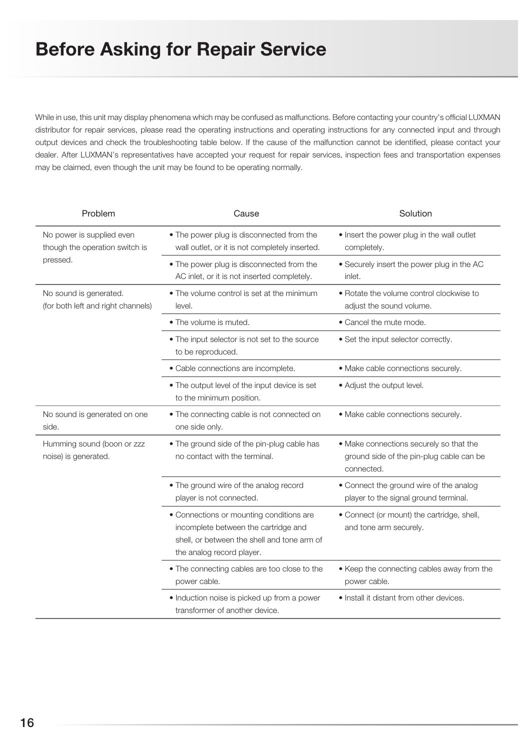While in use, this unit may display phenomena which may be confused as malfunctions. Before contacting your country's official LUXMAN distributor for repair services, please read the operating instructions and operating instructions for any connected input and through output devices and check the troubleshooting table below. If the cause of the malfunction cannot be identified, please contact your dealer. After LUXMAN's representatives have accepted your request for repair services, inspection fees and transportation expenses may be claimed, even though the unit may be found to be operating normally.

| Problem                                                                 | Cause                                                                                                                                                        | Solution                                                                                          |
|-------------------------------------------------------------------------|--------------------------------------------------------------------------------------------------------------------------------------------------------------|---------------------------------------------------------------------------------------------------|
| No power is supplied even<br>though the operation switch is<br>pressed. | • The power plug is disconnected from the<br>wall outlet, or it is not completely inserted.                                                                  | . Insert the power plug in the wall outlet<br>completely.                                         |
|                                                                         | • The power plug is disconnected from the<br>AC inlet, or it is not inserted completely.                                                                     | • Securely insert the power plug in the AC<br>inlet.                                              |
| No sound is generated.<br>(for both left and right channels)            | . The volume control is set at the minimum<br>level.                                                                                                         | . Rotate the volume control clockwise to<br>adjust the sound volume.                              |
|                                                                         | • The volume is muted.                                                                                                                                       | • Cancel the mute mode.                                                                           |
|                                                                         | • The input selector is not set to the source<br>to be reproduced.                                                                                           | • Set the input selector correctly.                                                               |
|                                                                         | · Cable connections are incomplete.                                                                                                                          | · Make cable connections securely.                                                                |
|                                                                         | • The output level of the input device is set<br>to the minimum position.                                                                                    | • Adjust the output level.                                                                        |
| No sound is generated on one<br>side.                                   | • The connecting cable is not connected on<br>one side only.                                                                                                 | · Make cable connections securely.                                                                |
| Humming sound (boon or zzz<br>noise) is generated.                      | . The ground side of the pin-plug cable has<br>no contact with the terminal.                                                                                 | • Make connections securely so that the<br>ground side of the pin-plug cable can be<br>connected. |
|                                                                         | • The ground wire of the analog record<br>player is not connected.                                                                                           | • Connect the ground wire of the analog<br>player to the signal ground terminal.                  |
|                                                                         | • Connections or mounting conditions are<br>incomplete between the cartridge and<br>shell, or between the shell and tone arm of<br>the analog record player. | • Connect (or mount) the cartridge, shell,<br>and tone arm securely.                              |
|                                                                         | • The connecting cables are too close to the<br>power cable.                                                                                                 | • Keep the connecting cables away from the<br>power cable.                                        |
|                                                                         | · Induction noise is picked up from a power<br>transformer of another device.                                                                                | • Install it distant from other devices.                                                          |